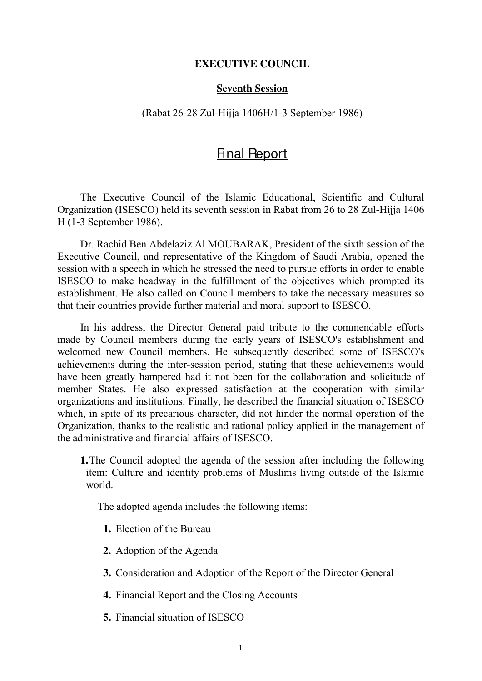## **EXECUTIVE COUNCIL**

## **Seventh Session**

## (Rabat 26-28 Zul-Hijja 1406H/1-3 September 1986)

## Final Report

The Executive Council of the Islamic Educational, Scientific and Cultural Organization (ISESCO) held its seventh session in Rabat from 26 to 28 Zul-Hijja 1406 H (1-3 September 1986).

Dr. Rachid Ben Abdelaziz Al MOUBARAK, President of the sixth session of the Executive Council, and representative of the Kingdom of Saudi Arabia, opened the session with a speech in which he stressed the need to pursue efforts in order to enable ISESCO to make headway in the fulfillment of the objectives which prompted its establishment. He also called on Council members to take the necessary measures so that their countries provide further material and moral support to ISESCO.

In his address, the Director General paid tribute to the commendable efforts made by Council members during the early years of ISESCO's establishment and welcomed new Council members. He subsequently described some of ISESCO's achievements during the inter-session period, stating that these achievements would have been greatly hampered had it not been for the collaboration and solicitude of member States. He also expressed satisfaction at the cooperation with similar organizations and institutions. Finally, he described the financial situation of ISESCO which, in spite of its precarious character, did not hinder the normal operation of the Organization, thanks to the realistic and rational policy applied in the management of the administrative and financial affairs of ISESCO.

**1.**The Council adopted the agenda of the session after including the following item: Culture and identity problems of Muslims living outside of the Islamic world.

The adopted agenda includes the following items:

- **1.** Election of the Bureau
- **2.** Adoption of the Agenda
- **3.** Consideration and Adoption of the Report of the Director General
- **4.** Financial Report and the Closing Accounts
- **5.** Financial situation of ISESCO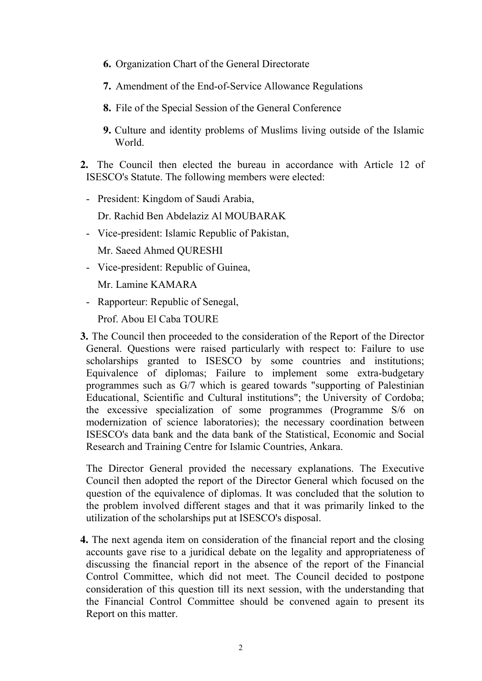- **6.** Organization Chart of the General Directorate
- **7.** Amendment of the End-of-Service Allowance Regulations
- **8.** File of the Special Session of the General Conference
- **9.** Culture and identity problems of Muslims living outside of the Islamic World.
- **2.** The Council then elected the bureau in accordance with Article 12 of ISESCO's Statute. The following members were elected:
	- President: Kingdom of Saudi Arabia,

Dr. Rachid Ben Abdelaziz Al MOUBARAK

- Vice-president: Islamic Republic of Pakistan,

Mr. Saeed Ahmed QURESHI

- Vice-president: Republic of Guinea,

Mr. Lamine KAMARA

- Rapporteur: Republic of Senegal,

Prof. Abou El Caba TOURE

**3.** The Council then proceeded to the consideration of the Report of the Director General. Questions were raised particularly with respect to: Failure to use scholarships granted to ISESCO by some countries and institutions; Equivalence of diplomas; Failure to implement some extra-budgetary programmes such as G/7 which is geared towards "supporting of Palestinian Educational, Scientific and Cultural institutions"; the University of Cordoba; the excessive specialization of some programmes (Programme S/6 on modernization of science laboratories); the necessary coordination between ISESCO's data bank and the data bank of the Statistical, Economic and Social Research and Training Centre for Islamic Countries, Ankara.

The Director General provided the necessary explanations. The Executive Council then adopted the report of the Director General which focused on the question of the equivalence of diplomas. It was concluded that the solution to the problem involved different stages and that it was primarily linked to the utilization of the scholarships put at ISESCO's disposal.

**4.** The next agenda item on consideration of the financial report and the closing accounts gave rise to a juridical debate on the legality and appropriateness of discussing the financial report in the absence of the report of the Financial Control Committee, which did not meet. The Council decided to postpone consideration of this question till its next session, with the understanding that the Financial Control Committee should be convened again to present its Report on this matter.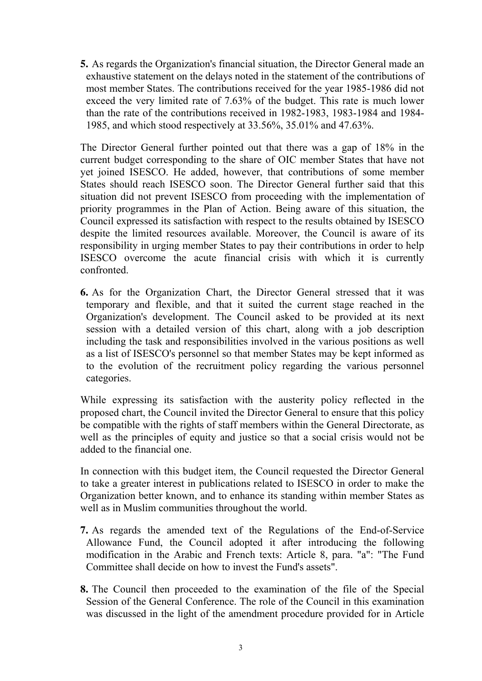**5.** As regards the Organization's financial situation, the Director General made an exhaustive statement on the delays noted in the statement of the contributions of most member States. The contributions received for the year 1985-1986 did not exceed the very limited rate of 7.63% of the budget. This rate is much lower than the rate of the contributions received in 1982-1983, 1983-1984 and 1984- 1985, and which stood respectively at 33.56%, 35.01% and 47.63%.

The Director General further pointed out that there was a gap of 18% in the current budget corresponding to the share of OIC member States that have not yet joined ISESCO. He added, however, that contributions of some member States should reach ISESCO soon. The Director General further said that this situation did not prevent ISESCO from proceeding with the implementation of priority programmes in the Plan of Action. Being aware of this situation, the Council expressed its satisfaction with respect to the results obtained by ISESCO despite the limited resources available. Moreover, the Council is aware of its responsibility in urging member States to pay their contributions in order to help ISESCO overcome the acute financial crisis with which it is currently confronted.

**6.** As for the Organization Chart, the Director General stressed that it was temporary and flexible, and that it suited the current stage reached in the Organization's development. The Council asked to be provided at its next session with a detailed version of this chart, along with a job description including the task and responsibilities involved in the various positions as well as a list of ISESCO's personnel so that member States may be kept informed as to the evolution of the recruitment policy regarding the various personnel categories.

While expressing its satisfaction with the austerity policy reflected in the proposed chart, the Council invited the Director General to ensure that this policy be compatible with the rights of staff members within the General Directorate, as well as the principles of equity and justice so that a social crisis would not be added to the financial one.

In connection with this budget item, the Council requested the Director General to take a greater interest in publications related to ISESCO in order to make the Organization better known, and to enhance its standing within member States as well as in Muslim communities throughout the world.

- **7.** As regards the amended text of the Regulations of the End-of-Service Allowance Fund, the Council adopted it after introducing the following modification in the Arabic and French texts: Article 8, para. "a": "The Fund Committee shall decide on how to invest the Fund's assets".
- **8.** The Council then proceeded to the examination of the file of the Special Session of the General Conference. The role of the Council in this examination was discussed in the light of the amendment procedure provided for in Article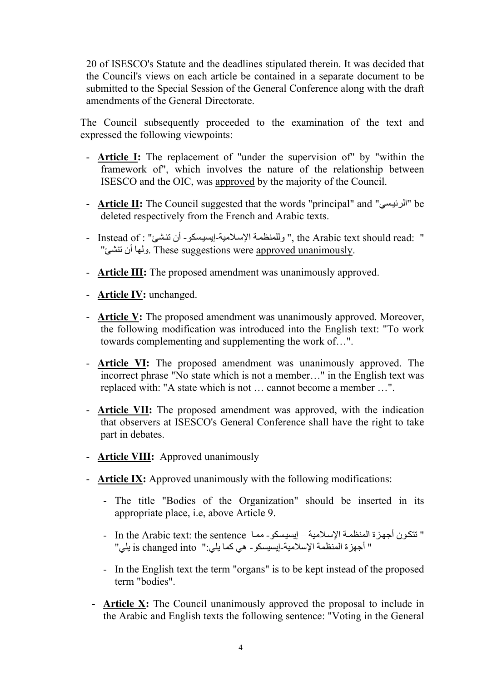20 of ISESCO's Statute and the deadlines stipulated therein. It was decided that the Council's views on each article be contained in a separate document to be submitted to the Special Session of the General Conference along with the draft amendments of the General Directorate.

The Council subsequently proceeded to the examination of the text and expressed the following viewpoints:

- **Article I:** The replacement of "under the supervision of" by "within the framework of", which involves the nature of the relationship between ISESCO and the OIC, was approved by the majority of the Council.
- **Article II:** The Council suggested that the words "principal" and "الرئيسى" be deleted respectively from the French and Arabic texts.
- Instead of : " وللمنظمة الإسلامية-إيسيسكو أن نتشئ" : Instead of " " ولها أن تنشئ". These suggestions were approved unanimously.
- **Article III:** The proposed amendment was unanimously approved.
- **Article IV:** unchanged.
- **Article V:** The proposed amendment was unanimously approved. Moreover, the following modification was introduced into the English text: "To work towards complementing and supplementing the work of…".
- **Article VI:** The proposed amendment was unanimously approved. The incorrect phrase "No state which is not a member…" in the English text was replaced with: "A state which is not … cannot become a member …".
- **Article VII:** The proposed amendment was approved, with the indication that observers at ISESCO's General Conference shall have the right to take part in debates.
- **Article VIII:** Approved unanimously
- **Article IX:** Approved unanimously with the following modifications:
	- The title "Bodies of the Organization" should be inserted in its appropriate place, i.e, above Article 9.
	- In the Arabic text: the sentence الإسلامية إيسيسكو مما In the Arabic text: the sentence " أجهزة المنظمة الإسلامية-إيسيسكو - هي كما يلي:'' is changed into يلي'' .
	- In the English text the term "organs" is to be kept instead of the proposed term "bodies".
	- **Article X:** The Council unanimously approved the proposal to include in the Arabic and English texts the following sentence: "Voting in the General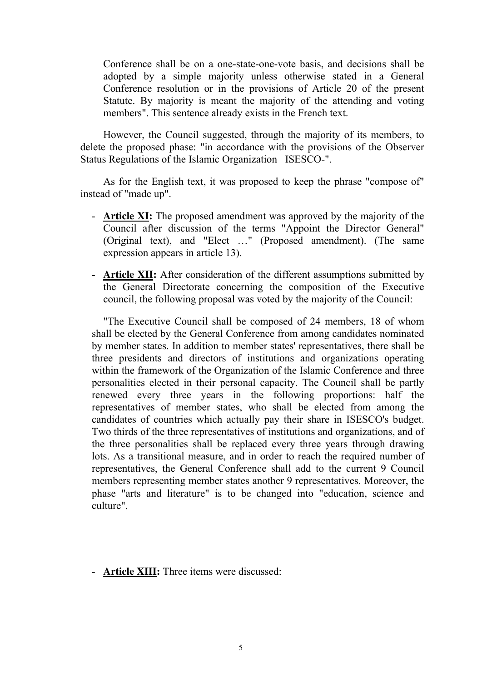Conference shall be on a one-state-one-vote basis, and decisions shall be adopted by a simple majority unless otherwise stated in a General Conference resolution or in the provisions of Article 20 of the present Statute. By majority is meant the majority of the attending and voting members". This sentence already exists in the French text.

However, the Council suggested, through the majority of its members, to delete the proposed phase: "in accordance with the provisions of the Observer Status Regulations of the Islamic Organization –ISESCO-".

As for the English text, it was proposed to keep the phrase "compose of" instead of "made up".

- **Article XI:** The proposed amendment was approved by the majority of the Council after discussion of the terms "Appoint the Director General" (Original text), and "Elect …" (Proposed amendment). (The same expression appears in article 13).
- **Article XII:** After consideration of the different assumptions submitted by the General Directorate concerning the composition of the Executive council, the following proposal was voted by the majority of the Council:

"The Executive Council shall be composed of 24 members, 18 of whom shall be elected by the General Conference from among candidates nominated by member states. In addition to member states' representatives, there shall be three presidents and directors of institutions and organizations operating within the framework of the Organization of the Islamic Conference and three personalities elected in their personal capacity. The Council shall be partly renewed every three years in the following proportions: half the representatives of member states, who shall be elected from among the candidates of countries which actually pay their share in ISESCO's budget. Two thirds of the three representatives of institutions and organizations, and of the three personalities shall be replaced every three years through drawing lots. As a transitional measure, and in order to reach the required number of representatives, the General Conference shall add to the current 9 Council members representing member states another 9 representatives. Moreover, the phase "arts and literature" is to be changed into "education, science and culture".

- **Article XIII:** Three items were discussed: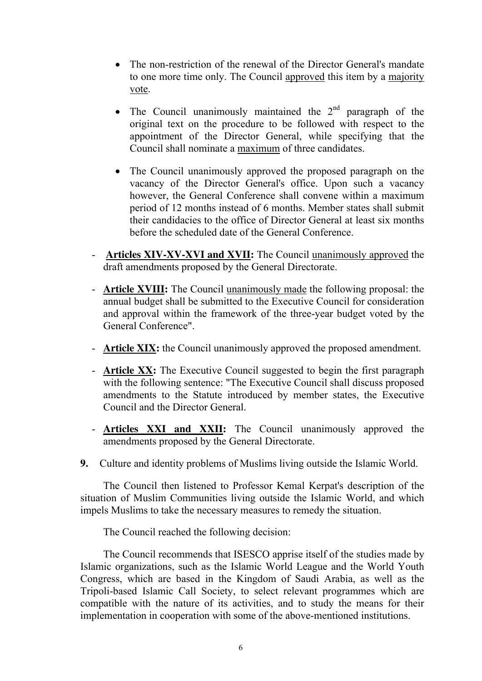- The non-restriction of the renewal of the Director General's mandate to one more time only. The Council approved this item by a majority vote.
- The Council unanimously maintained the  $2<sup>nd</sup>$  paragraph of the original text on the procedure to be followed with respect to the appointment of the Director General, while specifying that the Council shall nominate a maximum of three candidates.
- The Council unanimously approved the proposed paragraph on the vacancy of the Director General's office. Upon such a vacancy however, the General Conference shall convene within a maximum period of 12 months instead of 6 months. Member states shall submit their candidacies to the office of Director General at least six months before the scheduled date of the General Conference.
- **Articles XIV-XV-XVI and XVII:** The Council unanimously approved the draft amendments proposed by the General Directorate.
- **Article XVIII:** The Council unanimously made the following proposal: the annual budget shall be submitted to the Executive Council for consideration and approval within the framework of the three-year budget voted by the General Conference".
- **Article XIX:** the Council unanimously approved the proposed amendment.
- **Article XX:** The Executive Council suggested to begin the first paragraph with the following sentence: "The Executive Council shall discuss proposed amendments to the Statute introduced by member states, the Executive Council and the Director General.
- **Articles XXI and XXII:** The Council unanimously approved the amendments proposed by the General Directorate.
- **9.** Culture and identity problems of Muslims living outside the Islamic World.

The Council then listened to Professor Kemal Kerpat's description of the situation of Muslim Communities living outside the Islamic World, and which impels Muslims to take the necessary measures to remedy the situation.

The Council reached the following decision:

The Council recommends that ISESCO apprise itself of the studies made by Islamic organizations, such as the Islamic World League and the World Youth Congress, which are based in the Kingdom of Saudi Arabia, as well as the Tripoli-based Islamic Call Society, to select relevant programmes which are compatible with the nature of its activities, and to study the means for their implementation in cooperation with some of the above-mentioned institutions.